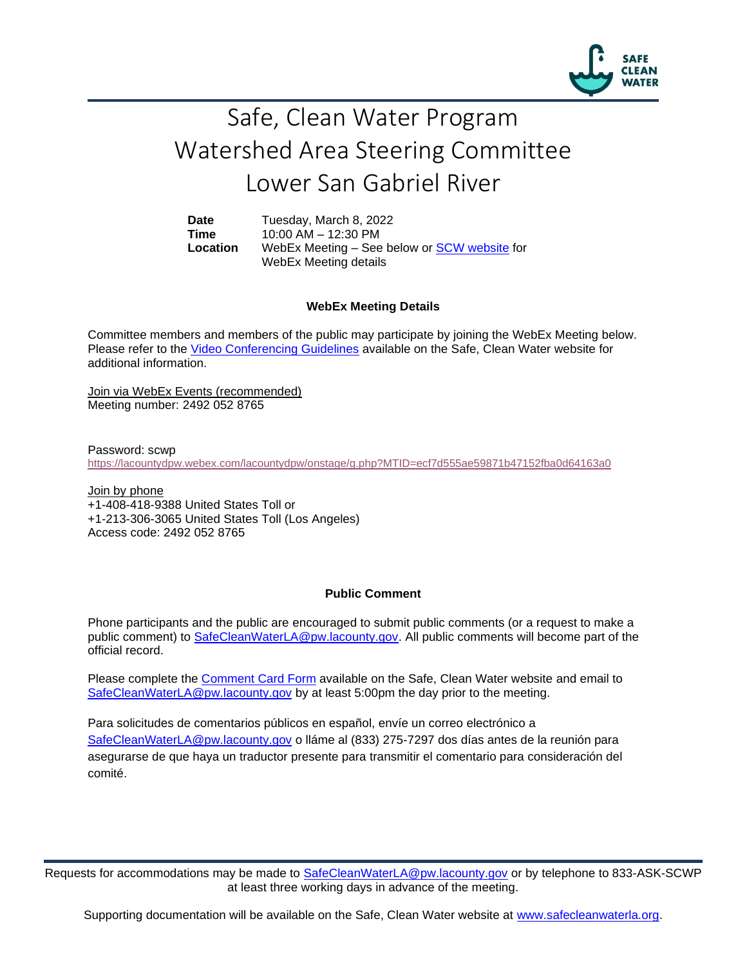

## Safe, Clean Water Program Watershed Area Steering Committee Lower San Gabriel River

**Date** Tuesday, March 8, 2022 **Time** 10:00 AM – 12:30 PM **Location** WebEx Meeting – See below or [SCW website](https://safecleanwaterla.org/lower-san-gabriel-river-watershed-area/) for WebEx Meeting details

## **WebEx Meeting Details**

Committee members and members of the public may participate by joining the WebEx Meeting below. Please refer to the [Video Conferencing Guidelines](https://safecleanwaterla.org/video-conference-guidelines/) available on the Safe, Clean Water website for additional information.

Join via WebEx Events (recommended) Meeting number: 2492 052 8765

Password: scwp <https://lacountydpw.webex.com/lacountydpw/onstage/g.php?MTID=ecf7d555ae59871b47152fba0d64163a0>

Join by phone +1-408-418-9388 United States Toll or +1-213-306-3065 United States Toll (Los Angeles) Access code: 2492 052 8765

## **Public Comment**

Phone participants and the public are encouraged to submit public comments (or a request to make a public comment) to [SafeCleanWaterLA@pw.lacounty.gov.](mailto:SafeCleanWaterLA@pw.lacounty.gov) All public comments will become part of the official record.

Please complete the Comment [Card Form](https://safecleanwaterla.org/wp-content/uploads/2020/04/Comment-Card-Form.pdf) available on the Safe, Clean Water website and email to [SafeCleanWaterLA@pw.lacounty.gov](mailto:SafeCleanWaterLA@pw.lacounty.govb) by at least 5:00pm the day prior to the meeting.

Para solicitudes de comentarios públicos en español, envíe un correo electrónico a [SafeCleanWaterLA@pw.lacounty.gov](mailto:SafeCleanWaterLA@pw.lacounty.gov) o lláme al (833) 275-7297 dos días antes de la reunión para asegurarse de que haya un traductor presente para transmitir el comentario para consideración del comité.

Requests for accommodations may be made to [SafeCleanWaterLA@pw.lacounty.gov](mailto:SafeCleanWaterLA@pw.lacounty.gov) or by telephone to 833-ASK-SCWP at least three working days in advance of the meeting.

Supporting documentation will be available on the Safe, Clean Water website at [www.safecleanwaterla.org.](http://www.safecleanwaterla.org/)